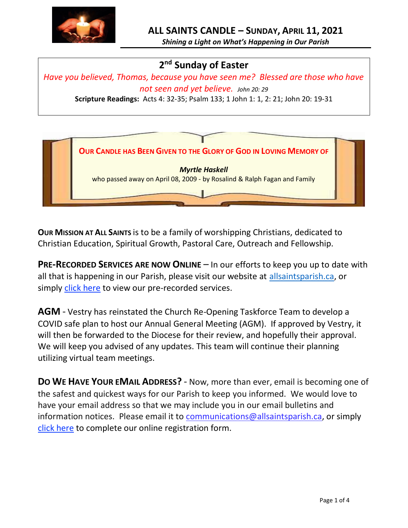

*Shining a Light on What's Happening in Our Parish*

# **2 nd Sunday of Easter**

*Have you believed, Thomas, because you have seen me? Blessed are those who have not seen and yet believe. John 20: 29*

**Scripture Readings:** Acts 4: 32-35; Psalm 133; 1 John 1: 1, 2: 21; John 20: 19-31



**OUR MISSION AT ALL SAINTS** is to be a family of worshipping Christians, dedicated to Christian Education, Spiritual Growth, Pastoral Care, Outreach and Fellowship.

**PRE-RECORDED SERVICES ARE NOW ONLINE** – In our efforts to keep you up to date with all that is happening in our Parish, please visit our website at [allsaintsparish.ca,](http://allsaintsparish.ca/) or simply [click here](http://allsaintsparish.ca/recorded-church-services) to view our pre-recorded services.

**AGM** - Vestry has reinstated the Church Re-Opening Taskforce Team to develop a COVID safe plan to host our Annual General Meeting (AGM). If approved by Vestry, it will then be forwarded to the Diocese for their review, and hopefully their approval. We will keep you advised of any updates. This team will continue their planning utilizing virtual team meetings.

**DO WE HAVE YOUR EMAIL ADDRESS?** - Now, more than ever, email is becoming one of the safest and quickest ways for our Parish to keep you informed. We would love to have your email address so that we may include you in our email bulletins and information notices. Please email it to [communications@allsaintsparish.ca,](mailto:communications@allsaintsparish.ca?subject=eMail%20Address%20Update) or simply [click here](http://allsaintsparish.ca/email_updates) to complete our online registration form.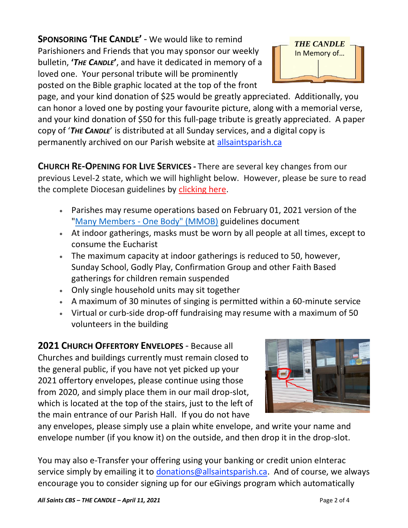**SPONSORING 'THE CANDLE'** - We would like to remind Parishioners and Friends that you may sponsor our weekly bulletin, **'***THE CANDLE***'**, and have it dedicated in memory of a loved one. Your personal tribute will be prominently posted on the Bible graphic located at the top of the front



page, and your kind donation of \$25 would be greatly appreciated. Additionally, you can honor a loved one by posting your favourite picture, along with a memorial verse, and your kind donation of \$50 for this full-page tribute is greatly appreciated. A paper copy of '*THE CANDLE*' is distributed at all Sunday services, and a digital copy is permanently archived on our Parish website at [allsaintsparish.ca](http://allsaintsparish.ca/thecandle.html)

**CHURCH RE-OPENING FOR LIVE SERVICES -** There are several key changes from our previous Level-2 state, which we will highlight below. However, please be sure to read the complete Diocesan guidelines by [clicking here.](http://allsaintsparish.ca/document_library/COVID-19/210324%20COVID-19%20Revised%20Alert%20Level%202%20effective%20March%2027%202021.pdf)

- Parishes may resume operations based on February 01, 2021 version of the "Many Members - [One Body" \(MMOB\)](https://anglicanenl.net/home/wp-content/uploads/2021/02/Many-Members-One-Body-February-2021.pdf) guidelines document
- At indoor gatherings, masks must be worn by all people at all times, except to consume the Eucharist
- The maximum capacity at indoor gatherings is reduced to 50, however, Sunday School, Godly Play, Confirmation Group and other Faith Based gatherings for children remain suspended
- Only single household units may sit together
- A maximum of 30 minutes of singing is permitted within a 60-minute service
- Virtual or curb-side drop-off fundraising may resume with a maximum of 50 volunteers in the building

**2021 CHURCH OFFERTORY ENVELOPES** - Because all Churches and buildings currently must remain closed to the general public, if you have not yet picked up your 2021 offertory envelopes, please continue using those from 2020, and simply place them in our mail drop-slot, which is located at the top of the stairs, just to the left of the main entrance of our Parish Hall. If you do not have



any envelopes, please simply use a plain white envelope, and write your name and envelope number (if you know it) on the outside, and then drop it in the drop-slot.

You may also e-Transfer your offering using your banking or credit union eInterac service simply by emailing it to [donations@allsaintsparish.ca.](mailto:donations@allsaintsparish.ca) And of course, we always encourage you to consider signing up for our eGivings program which automatically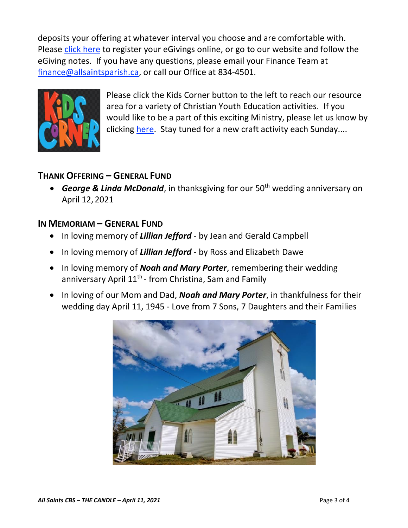deposits your offering at whatever interval you choose and are comfortable with. Please [click here](http://allsaintsparish.ca/egiving-online-information-form) to register your eGivings online, or go to our website and follow the eGiving notes. If you have [any](https://wfsites-to.websitecreatorprotool.com/870a5dd5.com/Admin/%7BSK_NODEID__22939341__SK%7D) questions, please email your Finance Team at [finance@allsaintsparish.ca,](mailto:finance@allsaintsparish.ca) or call our Office at 834-4501.



Please [click](http://allsaintsparish.ca/kids-corner) the Kids Corner button to the left to reach our resource area for a variety of Christian Youth Education activities. If you would like to be a part of this exciting Ministry, please let us know by clicking [here.](http://allsaintsparish.ca/index.html#comments) Stay tuned for a new craft activity each Sunday....

## **THANK OFFERING – GENERAL FUND**

**•** *George & Linda McDonald*, in thanksgiving for our 50<sup>th</sup> wedding anniversary on April 12, 2021

## **IN MEMORIAM – GENERAL FUND**

- In loving memory of *Lillian Jefford* by Jean and Gerald Campbell
- In loving memory of *Lillian Jefford* by Ross and Elizabeth Dawe
- In loving memory of *Noah and Mary Porter*, remembering their wedding anniversary April 11<sup>th</sup> - from Christina, Sam and Family
- In loving of our Mom and Dad, *Noah and Mary Porter*, in thankfulness for their wedding day April 11, 1945 - Love from 7 Sons, 7 Daughters and their Families